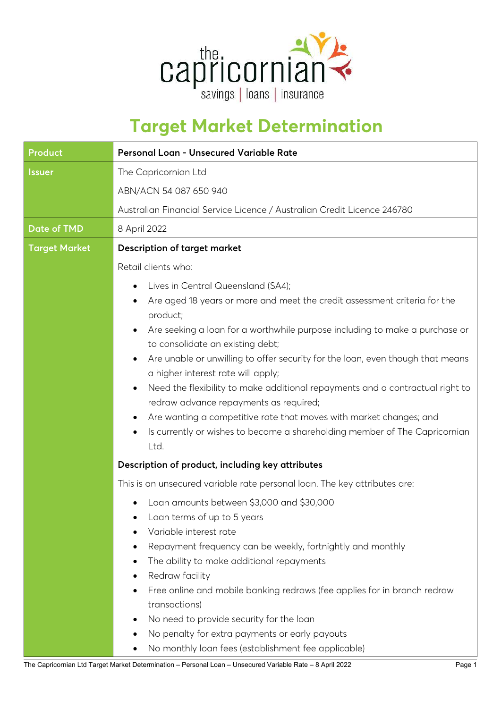

## **Target Market Determination**

| Product              | Personal Loan - Unsecured Variable Rate                                                                                                                                                                                                                                                                                                                                                                                                                                                                                                                                                                                                                                                                                                                         |  |
|----------------------|-----------------------------------------------------------------------------------------------------------------------------------------------------------------------------------------------------------------------------------------------------------------------------------------------------------------------------------------------------------------------------------------------------------------------------------------------------------------------------------------------------------------------------------------------------------------------------------------------------------------------------------------------------------------------------------------------------------------------------------------------------------------|--|
| <b>Issuer</b>        | The Capricornian Ltd<br>ABN/ACN 54 087 650 940<br>Australian Financial Service Licence / Australian Credit Licence 246780                                                                                                                                                                                                                                                                                                                                                                                                                                                                                                                                                                                                                                       |  |
| <b>Date of TMD</b>   | 8 April 2022                                                                                                                                                                                                                                                                                                                                                                                                                                                                                                                                                                                                                                                                                                                                                    |  |
| <b>Target Market</b> | <b>Description of target market</b>                                                                                                                                                                                                                                                                                                                                                                                                                                                                                                                                                                                                                                                                                                                             |  |
|                      | Retail clients who:<br>Lives in Central Queensland (SA4);<br>$\bullet$<br>Are aged 18 years or more and meet the credit assessment criteria for the<br>$\bullet$<br>product;<br>Are seeking a loan for a worthwhile purpose including to make a purchase or<br>$\bullet$<br>to consolidate an existing debt;<br>Are unable or unwilling to offer security for the loan, even though that means<br>$\bullet$<br>a higher interest rate will apply;<br>Need the flexibility to make additional repayments and a contractual right to<br>٠<br>redraw advance repayments as required;<br>Are wanting a competitive rate that moves with market changes; and<br>٠<br>Is currently or wishes to become a shareholding member of The Capricornian<br>$\bullet$<br>Ltd. |  |
|                      | Description of product, including key attributes                                                                                                                                                                                                                                                                                                                                                                                                                                                                                                                                                                                                                                                                                                                |  |
|                      | This is an unsecured variable rate personal loan. The key attributes are:                                                                                                                                                                                                                                                                                                                                                                                                                                                                                                                                                                                                                                                                                       |  |
|                      | Loan amounts between \$3,000 and \$30,000<br>Loan terms of up to 5 years<br>Variable interest rate<br>Repayment frequency can be weekly, fortnightly and monthly<br>٠<br>The ability to make additional repayments<br>٠<br>Redraw facility<br>$\bullet$<br>Free online and mobile banking redraws (fee applies for in branch redraw<br>$\bullet$<br>transactions)<br>No need to provide security for the loan<br>$\bullet$<br>No penalty for extra payments or early payouts<br>$\bullet$<br>No monthly loan fees (establishment fee applicable)                                                                                                                                                                                                                |  |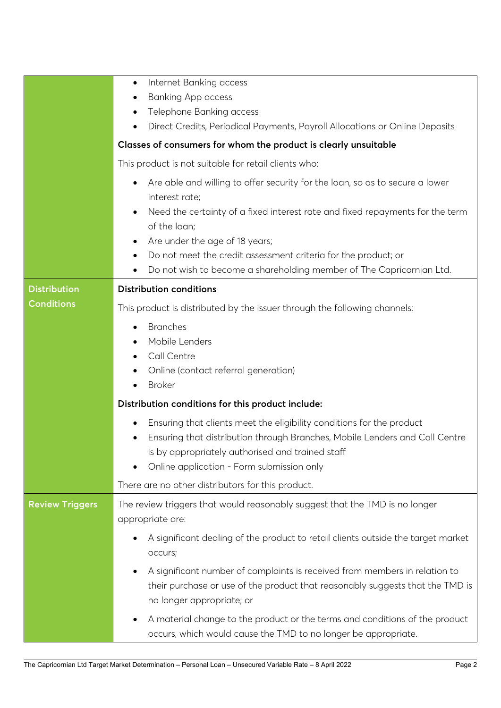|                                          | Internet Banking access<br>$\bullet$<br><b>Banking App access</b><br>$\bullet$<br>Telephone Banking access<br>٠                                                                                       |  |  |  |
|------------------------------------------|-------------------------------------------------------------------------------------------------------------------------------------------------------------------------------------------------------|--|--|--|
|                                          | Direct Credits, Periodical Payments, Payroll Allocations or Online Deposits<br>$\bullet$                                                                                                              |  |  |  |
|                                          | Classes of consumers for whom the product is clearly unsuitable                                                                                                                                       |  |  |  |
|                                          | This product is not suitable for retail clients who:                                                                                                                                                  |  |  |  |
|                                          | Are able and willing to offer security for the loan, so as to secure a lower<br>$\bullet$<br>interest rate;                                                                                           |  |  |  |
|                                          | Need the certainty of a fixed interest rate and fixed repayments for the term<br>$\bullet$<br>of the loan;                                                                                            |  |  |  |
|                                          | Are under the age of 18 years;<br>$\bullet$                                                                                                                                                           |  |  |  |
|                                          | Do not meet the credit assessment criteria for the product; or<br>٠                                                                                                                                   |  |  |  |
|                                          | Do not wish to become a shareholding member of The Capricornian Ltd.<br>$\bullet$                                                                                                                     |  |  |  |
| <b>Distribution</b><br><b>Conditions</b> | <b>Distribution conditions</b>                                                                                                                                                                        |  |  |  |
|                                          | This product is distributed by the issuer through the following channels:                                                                                                                             |  |  |  |
|                                          | <b>Branches</b><br>$\bullet$                                                                                                                                                                          |  |  |  |
|                                          | Mobile Lenders                                                                                                                                                                                        |  |  |  |
|                                          | Call Centre<br>Online (contact referral generation)<br>٠                                                                                                                                              |  |  |  |
|                                          | <b>Broker</b><br>$\bullet$                                                                                                                                                                            |  |  |  |
|                                          | Distribution conditions for this product include:                                                                                                                                                     |  |  |  |
|                                          | Ensuring that clients meet the eligibility conditions for the product<br>$\bullet$                                                                                                                    |  |  |  |
|                                          | Ensuring that distribution through Branches, Mobile Lenders and Call Centre<br>$\bullet$                                                                                                              |  |  |  |
|                                          | is by appropriately authorised and trained staff                                                                                                                                                      |  |  |  |
|                                          | Online application - Form submission only<br>$\bullet$                                                                                                                                                |  |  |  |
|                                          | There are no other distributors for this product.                                                                                                                                                     |  |  |  |
| <b>Review Triggers</b>                   | The review triggers that would reasonably suggest that the TMD is no longer<br>appropriate are:                                                                                                       |  |  |  |
|                                          | A significant dealing of the product to retail clients outside the target market<br>occurs;                                                                                                           |  |  |  |
|                                          | A significant number of complaints is received from members in relation to<br>$\bullet$<br>their purchase or use of the product that reasonably suggests that the TMD is<br>no longer appropriate; or |  |  |  |
|                                          | A material change to the product or the terms and conditions of the product<br>$\bullet$<br>occurs, which would cause the TMD to no longer be appropriate.                                            |  |  |  |